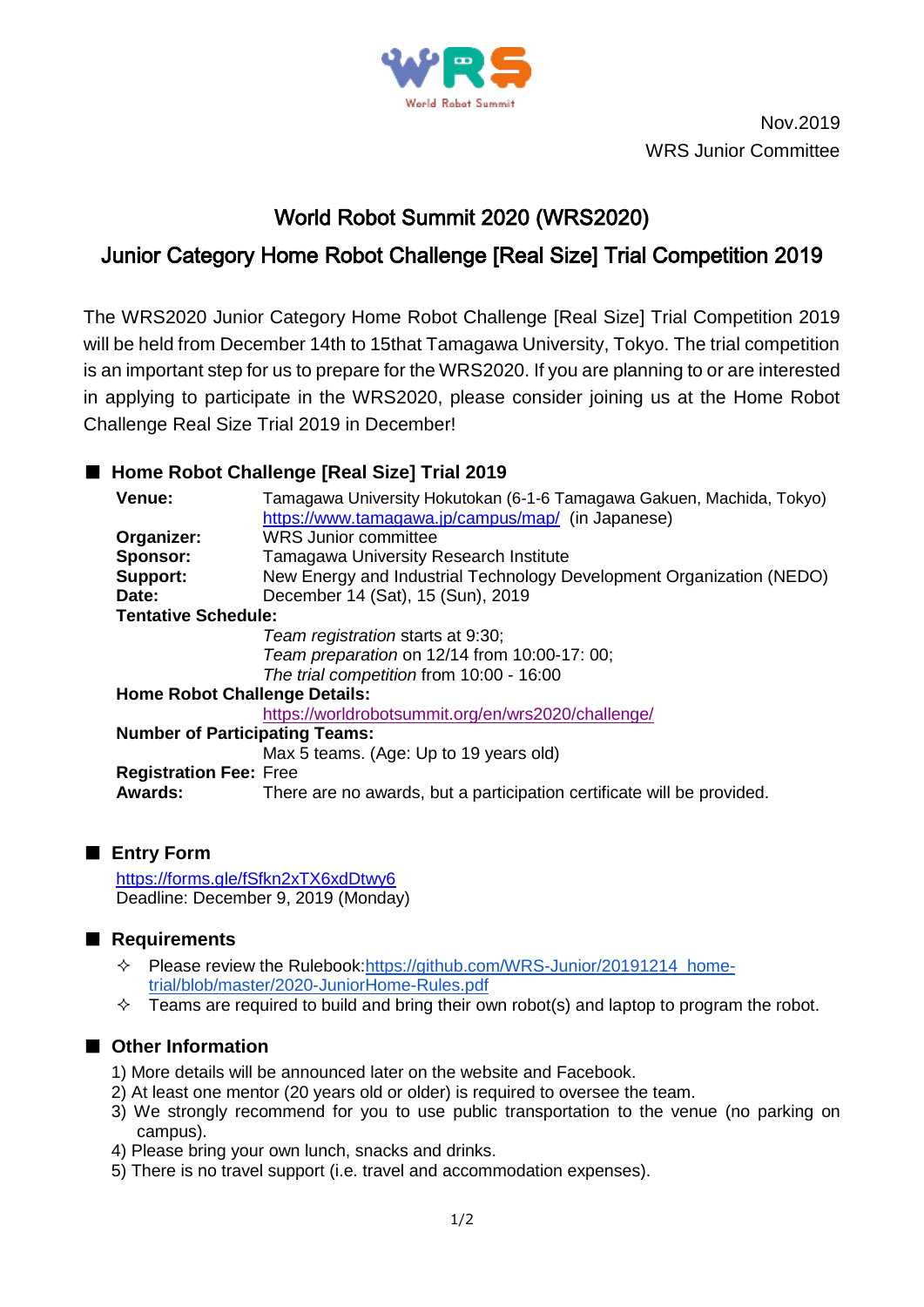

Nov.2019 WRS Junior Committee

# World Robot Summit 2020 (WRS2020)

## Junior Category Home Robot Challenge [Real Size] Trial Competition 2019

The WRS2020 Junior Category Home Robot Challenge [Real Size] Trial Competition 2019 will be held from December 14th to 15that Tamagawa University, Tokyo. The trial competition is an important step for us to prepare for the WRS2020. If you are planning to or are interested in applying to participate in the WRS2020, please consider joining us at the Home Robot Challenge Real Size Trial 2019 in December!

### ■ **Home Robot Challenge [Real Size]** Trial 2019

| Venue:                                | Tamagawa University Hokutokan (6-1-6 Tamagawa Gakuen, Machida, Tokyo)  |
|---------------------------------------|------------------------------------------------------------------------|
|                                       | https://www.tamagawa.jp/campus/map/ (in Japanese)                      |
| Organizer:                            | <b>WRS Junior committee</b>                                            |
| Sponsor:                              | <b>Tamagawa University Research Institute</b>                          |
| Support:                              | New Energy and Industrial Technology Development Organization (NEDO)   |
| Date:                                 | December 14 (Sat), 15 (Sun), 2019                                      |
| <b>Tentative Schedule:</b>            |                                                                        |
|                                       | Team registration starts at 9:30;                                      |
|                                       | Team preparation on 12/14 from 10:00-17: 00;                           |
|                                       | The trial competition from 10:00 - 16:00                               |
| <b>Home Robot Challenge Details:</b>  |                                                                        |
|                                       | https://worldrobotsummit.org/en/wrs2020/challenge/                     |
| <b>Number of Participating Teams:</b> |                                                                        |
|                                       | Max 5 teams. (Age: Up to 19 years old)                                 |
| <b>Registration Fee: Free</b>         |                                                                        |
| Awards:                               | There are no awards, but a participation certificate will be provided. |
|                                       |                                                                        |

#### ■ **Entry Form**

<https://forms.gle/fSfkn2xTX6xdDtwy6> Deadline: December 9, 2019 (Monday)

#### ■ **Requirements**

- Please review the Rulebook[:https://github.com/WRS-Junior/20191214\\_home](https://github.com/WRS-Junior/20191214_home-trial/blob/master/2020-JuniorHome-Rules.pdf)[trial/blob/master/2020-JuniorHome-Rules.pdf](https://github.com/WRS-Junior/20191214_home-trial/blob/master/2020-JuniorHome-Rules.pdf)
- $\Diamond$  Teams are required to build and bring their own robot(s) and laptop to program the robot.

## ■ Other Information

- 1) More details will be announced later on the website and Facebook.
- 2) At least one mentor (20 years old or older) is required to oversee the team.
- 3) We strongly recommend for you to use public transportation to the venue (no parking on campus).
- 4) Please bring your own lunch, snacks and drinks.
- 5) There is no travel support (i.e. travel and accommodation expenses).